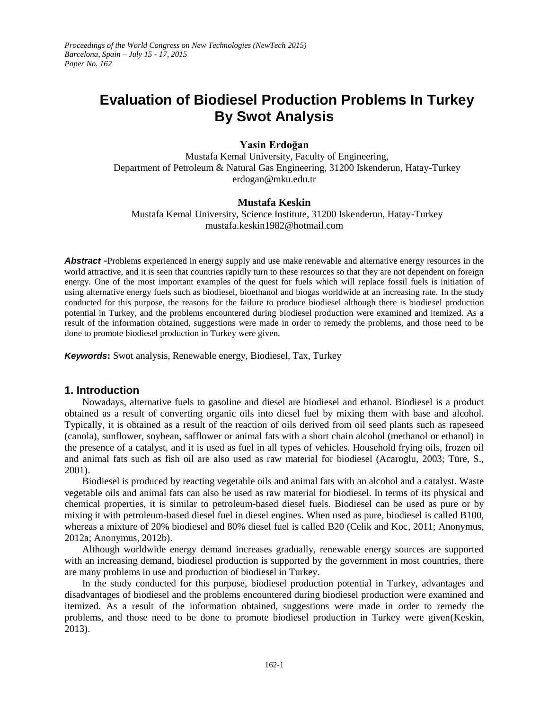*Proceedings of the World Congress on New Technologies (NewTech 2015) Barcelona, Spain – July 15 - 17, 2015 Paper No. 162*

# **Evaluation of Biodiesel Production Problems In Turkey By Swot Analysis**

# **Yasin Erdoğan**

Mustafa Kemal University, Faculty of Engineering, Department of Petroleum & Natural Gas Engineering, 31200 Iskenderun, Hatay-Turkey erdogan@mku.edu.tr

# **Mustafa Keskin**

Mustafa Kemal University, Science Institute, 31200 Iskenderun, Hatay-Turkey mustafa.keskin1982@hotmail.com

*Abstract* **-**Problems experienced in energy supply and use make renewable and alternative energy resources in the world attractive, and it is seen that countries rapidly turn to these resources so that they are not dependent on foreign energy. One of the most important examples of the quest for fuels which will replace fossil fuels is initiation of using alternative energy fuels such as biodiesel, bioethanol and biogas worldwide at an increasing rate. In the study conducted for this purpose, the reasons for the failure to produce biodiesel although there is biodiesel production potential in Turkey, and the problems encountered during biodiesel production were examined and itemized. As a result of the information obtained, suggestions were made in order to remedy the problems, and those need to be done to promote biodiesel production in Turkey were given.

*Keywords***:** Swot analysis, Renewable energy, Biodiesel, Tax, Turkey

#### **1. Introduction**

Nowadays, alternative fuels to gasoline and diesel are biodiesel and ethanol. Biodiesel is a product obtained as a result of converting organic oils into diesel fuel by mixing them with base and alcohol. Typically, it is obtained as a result of the reaction of oils derived from oil seed plants such as rapeseed (canola), sunflower, soybean, safflower or animal fats with a short chain alcohol (methanol or ethanol) in the presence of a catalyst, and it is used as fuel in all types of vehicles. Household frying oils, frozen oil and animal fats such as fish oil are also used as raw material for biodiesel (Acaroglu, 2003; Türe, S., 2001).

Biodiesel is produced by reacting vegetable oils and animal fats with an alcohol and a catalyst. Waste vegetable oils and animal fats can also be used as raw material for biodiesel. In terms of its physical and chemical properties, it is similar to petroleum-based diesel fuels. Biodiesel can be used as pure or by mixing it with petroleum-based diesel fuel in diesel engines. When used as pure, biodiesel is called B100, whereas a mixture of 20% biodiesel and 80% diesel fuel is called B20 (Celik and Koc, 2011; Anonymus, 2012a; Anonymus, 2012b).

Although worldwide energy demand increases gradually, renewable energy sources are supported with an increasing demand, biodiesel production is supported by the government in most countries, there are many problems in use and production of biodiesel in Turkey.

In the study conducted for this purpose, biodiesel production potential in Turkey, advantages and disadvantages of biodiesel and the problems encountered during biodiesel production were examined and itemized. As a result of the information obtained, suggestions were made in order to remedy the problems, and those need to be done to promote biodiesel production in Turkey were given(Keskin, 2013).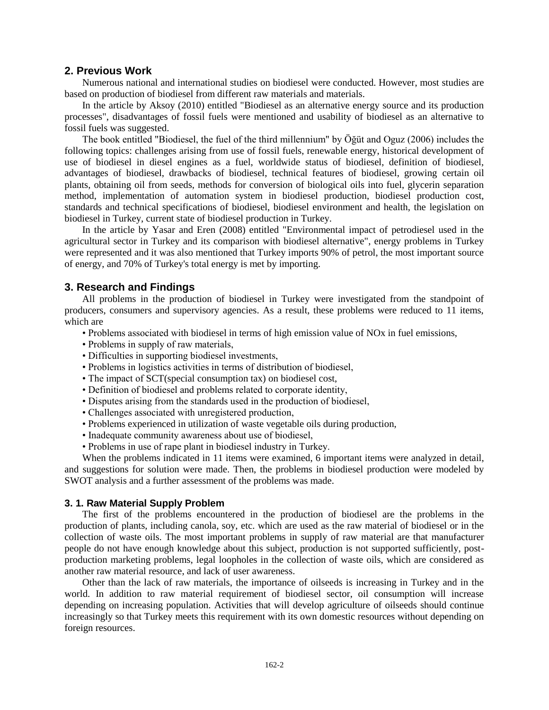# **2. Previous Work**

Numerous national and international studies on biodiesel were conducted. However, most studies are based on production of biodiesel from different raw materials and materials.

In the article by Aksoy (2010) entitled "Biodiesel as an alternative energy source and its production processes", disadvantages of fossil fuels were mentioned and usability of biodiesel as an alternative to fossil fuels was suggested.

The book entitled "Biodiesel, the fuel of the third millennium" by Öğüt and Oguz (2006) includes the following topics: challenges arising from use of fossil fuels, renewable energy, historical development of use of biodiesel in diesel engines as a fuel, worldwide status of biodiesel, definition of biodiesel, advantages of biodiesel, drawbacks of biodiesel, technical features of biodiesel, growing certain oil plants, obtaining oil from seeds, methods for conversion of biological oils into fuel, glycerin separation method, implementation of automation system in biodiesel production, biodiesel production cost, standards and technical specifications of biodiesel, biodiesel environment and health, the legislation on biodiesel in Turkey, current state of biodiesel production in Turkey.

In the article by Yasar and Eren (2008) entitled "Environmental impact of petrodiesel used in the agricultural sector in Turkey and its comparison with biodiesel alternative", energy problems in Turkey were represented and it was also mentioned that Turkey imports 90% of petrol, the most important source of energy, and 70% of Turkey's total energy is met by importing.

# **3. Research and Findings**

All problems in the production of biodiesel in Turkey were investigated from the standpoint of producers, consumers and supervisory agencies. As a result, these problems were reduced to 11 items, which are

- Problems associated with biodiesel in terms of high emission value of NOx in fuel emissions,
- Problems in supply of raw materials,
- Difficulties in supporting biodiesel investments,
- Problems in logistics activities in terms of distribution of biodiesel,
- The impact of SCT(special consumption tax) on biodiesel cost,
- Definition of biodiesel and problems related to corporate identity,
- Disputes arising from the standards used in the production of biodiesel,
- Challenges associated with unregistered production,
- Problems experienced in utilization of waste vegetable oils during production,
- Inadequate community awareness about use of biodiesel,
- Problems in use of rape plant in biodiesel industry in Turkey.

When the problems indicated in 11 items were examined, 6 important items were analyzed in detail, and suggestions for solution were made. Then, the problems in biodiesel production were modeled by SWOT analysis and a further assessment of the problems was made.

#### **3. 1. Raw Material Supply Problem**

The first of the problems encountered in the production of biodiesel are the problems in the production of plants, including canola, soy, etc. which are used as the raw material of biodiesel or in the collection of waste oils. The most important problems in supply of raw material are that manufacturer people do not have enough knowledge about this subject, production is not supported sufficiently, postproduction marketing problems, legal loopholes in the collection of waste oils, which are considered as another raw material resource, and lack of user awareness.

Other than the lack of raw materials, the importance of oilseeds is increasing in Turkey and in the world. In addition to raw material requirement of biodiesel sector, oil consumption will increase depending on increasing population. Activities that will develop agriculture of oilseeds should continue increasingly so that Turkey meets this requirement with its own domestic resources without depending on foreign resources.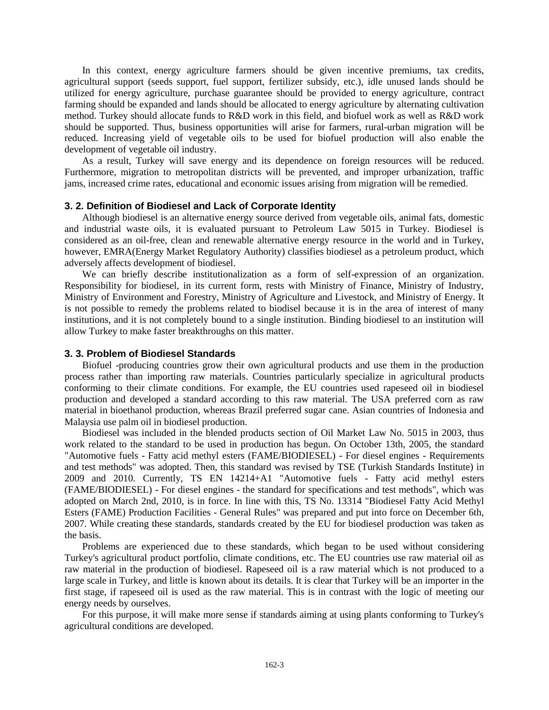In this context, energy agriculture farmers should be given incentive premiums, tax credits, agricultural support (seeds support, fuel support, fertilizer subsidy, etc.), idle unused lands should be utilized for energy agriculture, purchase guarantee should be provided to energy agriculture, contract farming should be expanded and lands should be allocated to energy agriculture by alternating cultivation method. Turkey should allocate funds to R&D work in this field, and biofuel work as well as R&D work should be supported. Thus, business opportunities will arise for farmers, rural-urban migration will be reduced. Increasing yield of vegetable oils to be used for biofuel production will also enable the development of vegetable oil industry.

As a result, Turkey will save energy and its dependence on foreign resources will be reduced. Furthermore, migration to metropolitan districts will be prevented, and improper urbanization, traffic jams, increased crime rates, educational and economic issues arising from migration will be remedied.

## **3. 2. Definition of Biodiesel and Lack of Corporate Identity**

Although biodiesel is an alternative energy source derived from vegetable oils, animal fats, domestic and industrial waste oils, it is evaluated pursuant to Petroleum Law 5015 in Turkey. Biodiesel is considered as an oil-free, clean and renewable alternative energy resource in the world and in Turkey, however, EMRA(Energy Market Regulatory Authority) classifies biodiesel as a petroleum product, which adversely affects development of biodiesel.

We can briefly describe institutionalization as a form of self-expression of an organization. Responsibility for biodiesel, in its current form, rests with Ministry of Finance, Ministry of Industry, Ministry of Environment and Forestry, Ministry of Agriculture and Livestock, and Ministry of Energy. It is not possible to remedy the problems related to biodisel because it is in the area of interest of many institutions, and it is not completely bound to a single institution. Binding biodiesel to an institution will allow Turkey to make faster breakthroughs on this matter.

#### **3. 3. Problem of Biodiesel Standards**

Biofuel -producing countries grow their own agricultural products and use them in the production process rather than importing raw materials. Countries particularly specialize in agricultural products conforming to their climate conditions. For example, the EU countries used rapeseed oil in biodiesel production and developed a standard according to this raw material. The USA preferred corn as raw material in bioethanol production, whereas Brazil preferred sugar cane. Asian countries of Indonesia and Malaysia use palm oil in biodiesel production.

Biodiesel was included in the blended products section of Oil Market Law No. 5015 in 2003, thus work related to the standard to be used in production has begun. On October 13th, 2005, the standard "Automotive fuels - Fatty acid methyl esters (FAME/BIODIESEL) - For diesel engines - Requirements and test methods" was adopted. Then, this standard was revised by TSE (Turkish Standards Institute) in 2009 and 2010. Currently, TS EN 14214+A1 "Automotive fuels - Fatty acid methyl esters (FAME/BIODIESEL) - For diesel engines - the standard for specifications and test methods", which was adopted on March 2nd, 2010, is in force. In line with this, TS No. 13314 "Biodiesel Fatty Acid Methyl Esters (FAME) Production Facilities - General Rules" was prepared and put into force on December 6th, 2007. While creating these standards, standards created by the EU for biodiesel production was taken as the basis.

Problems are experienced due to these standards, which began to be used without considering Turkey's agricultural product portfolio, climate conditions, etc. The EU countries use raw material oil as raw material in the production of biodiesel. Rapeseed oil is a raw material which is not produced to a large scale in Turkey, and little is known about its details. It is clear that Turkey will be an importer in the first stage, if rapeseed oil is used as the raw material. This is in contrast with the logic of meeting our energy needs by ourselves.

For this purpose, it will make more sense if standards aiming at using plants conforming to Turkey's agricultural conditions are developed.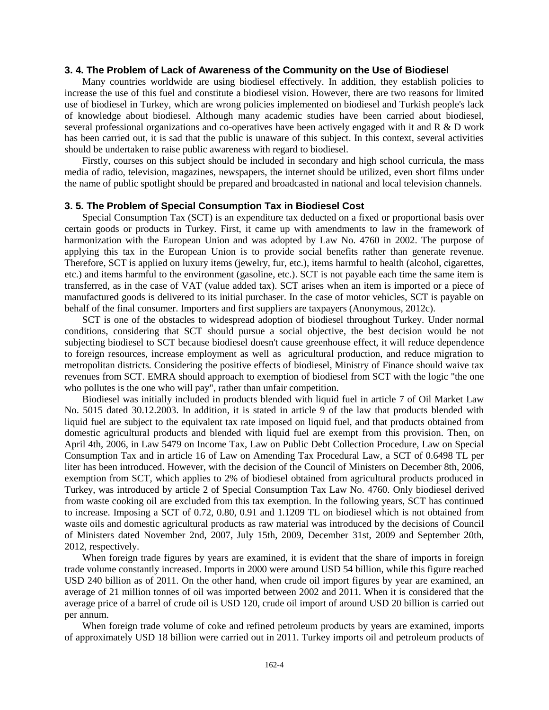## **3. 4. The Problem of Lack of Awareness of the Community on the Use of Biodiesel**

Many countries worldwide are using biodiesel effectively. In addition, they establish policies to increase the use of this fuel and constitute a biodiesel vision. However, there are two reasons for limited use of biodiesel in Turkey, which are wrong policies implemented on biodiesel and Turkish people's lack of knowledge about biodiesel. Although many academic studies have been carried about biodiesel, several professional organizations and co-operatives have been actively engaged with it and R & D work has been carried out, it is sad that the public is unaware of this subject. In this context, several activities should be undertaken to raise public awareness with regard to biodiesel.

Firstly, courses on this subject should be included in secondary and high school curricula, the mass media of radio, television, magazines, newspapers, the internet should be utilized, even short films under the name of public spotlight should be prepared and broadcasted in national and local television channels.

#### **3. 5. The Problem of Special Consumption Tax in Biodiesel Cost**

Special Consumption Tax (SCT) is an expenditure tax deducted on a fixed or proportional basis over certain goods or products in Turkey. First, it came up with amendments to law in the framework of harmonization with the European Union and was adopted by Law No. 4760 in 2002. The purpose of applying this tax in the European Union is to provide social benefits rather than generate revenue. Therefore, SCT is applied on luxury items (jewelry, fur, etc.), items harmful to health (alcohol, cigarettes, etc.) and items harmful to the environment (gasoline, etc.). SCT is not payable each time the same item is transferred, as in the case of VAT (value added tax). SCT arises when an item is imported or a piece of manufactured goods is delivered to its initial purchaser. In the case of motor vehicles, SCT is payable on behalf of the final consumer. Importers and first suppliers are taxpayers (Anonymous, 2012c).

SCT is one of the obstacles to widespread adoption of biodiesel throughout Turkey. Under normal conditions, considering that SCT should pursue a social objective, the best decision would be not subjecting biodiesel to SCT because biodiesel doesn't cause greenhouse effect, it will reduce dependence to foreign resources, increase employment as well as agricultural production, and reduce migration to metropolitan districts. Considering the positive effects of biodiesel, Ministry of Finance should waive tax revenues from SCT. EMRA should approach to exemption of biodiesel from SCT with the logic "the one who pollutes is the one who will pay", rather than unfair competition.

Biodiesel was initially included in products blended with liquid fuel in article 7 of Oil Market Law No. 5015 dated 30.12.2003. In addition, it is stated in article 9 of the law that products blended with liquid fuel are subject to the equivalent tax rate imposed on liquid fuel, and that products obtained from domestic agricultural products and blended with liquid fuel are exempt from this provision. Then, on April 4th, 2006, in Law 5479 on Income Tax, Law on Public Debt Collection Procedure, Law on Special Consumption Tax and in article 16 of Law on Amending Tax Procedural Law, a SCT of 0.6498 TL per liter has been introduced. However, with the decision of the Council of Ministers on December 8th, 2006, exemption from SCT, which applies to 2% of biodiesel obtained from agricultural products produced in Turkey, was introduced by article 2 of Special Consumption Tax Law No. 4760. Only biodiesel derived from waste cooking oil are excluded from this tax exemption. In the following years, SCT has continued to increase. Imposing a SCT of 0.72, 0.80, 0.91 and 1.1209 TL on biodiesel which is not obtained from waste oils and domestic agricultural products as raw material was introduced by the decisions of Council of Ministers dated November 2nd, 2007, July 15th, 2009, December 31st, 2009 and September 20th, 2012, respectively.

When foreign trade figures by years are examined, it is evident that the share of imports in foreign trade volume constantly increased. Imports in 2000 were around USD 54 billion, while this figure reached USD 240 billion as of 2011. On the other hand, when crude oil import figures by year are examined, an average of 21 million tonnes of oil was imported between 2002 and 2011. When it is considered that the average price of a barrel of crude oil is USD 120, crude oil import of around USD 20 billion is carried out per annum.

When foreign trade volume of coke and refined petroleum products by years are examined, imports of approximately USD 18 billion were carried out in 2011. Turkey imports oil and petroleum products of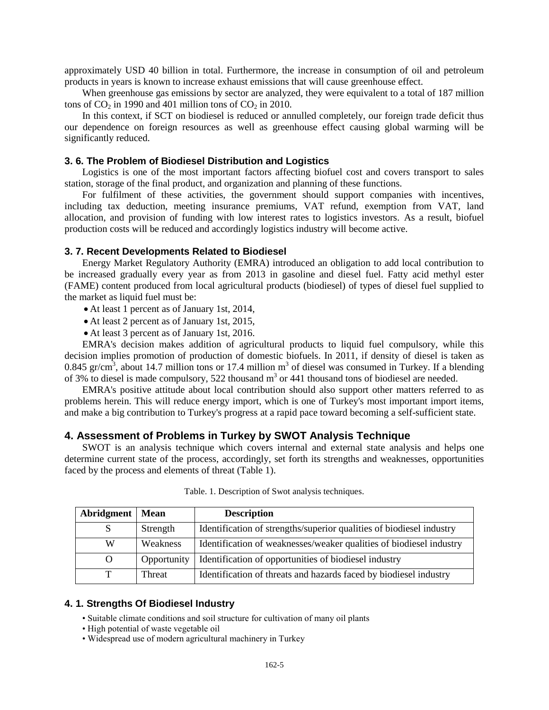approximately USD 40 billion in total. Furthermore, the increase in consumption of oil and petroleum products in years is known to increase exhaust emissions that will cause greenhouse effect.

When greenhouse gas emissions by sector are analyzed, they were equivalent to a total of 187 million tons of  $CO<sub>2</sub>$  in 1990 and 401 million tons of  $CO<sub>2</sub>$  in 2010.

In this context, if SCT on biodiesel is reduced or annulled completely, our foreign trade deficit thus our dependence on foreign resources as well as greenhouse effect causing global warming will be significantly reduced.

#### **3. 6. The Problem of Biodiesel Distribution and Logistics**

Logistics is one of the most important factors affecting biofuel cost and covers transport to sales station, storage of the final product, and organization and planning of these functions.

For fulfilment of these activities, the government should support companies with incentives, including tax deduction, meeting insurance premiums, VAT refund, exemption from VAT, land allocation, and provision of funding with low interest rates to logistics investors. As a result, biofuel production costs will be reduced and accordingly logistics industry will become active.

#### **3. 7. Recent Developments Related to Biodiesel**

Energy Market Regulatory Authority (EMRA) introduced an obligation to add local contribution to be increased gradually every year as from 2013 in gasoline and diesel fuel. Fatty acid methyl ester (FAME) content produced from local agricultural products (biodiesel) of types of diesel fuel supplied to the market as liquid fuel must be:

- At least 1 percent as of January 1st, 2014,
- At least 2 percent as of January 1st, 2015,
- At least 3 percent as of January 1st, 2016.

EMRA's decision makes addition of agricultural products to liquid fuel compulsory, while this decision implies promotion of production of domestic biofuels. In 2011, if density of diesel is taken as 0.845 gr/cm<sup>3</sup>, about 14.7 million tons or 17.4 million m<sup>3</sup> of diesel was consumed in Turkey. If a blending of 3% to diesel is made compulsory, 522 thousand  $m<sup>3</sup>$  or 441 thousand tons of biodiesel are needed.

EMRA's positive attitude about local contribution should also support other matters referred to as problems herein. This will reduce energy import, which is one of Turkey's most important import items, and make a big contribution to Turkey's progress at a rapid pace toward becoming a self-sufficient state.

## **4. Assessment of Problems in Turkey by SWOT Analysis Technique**

SWOT is an analysis technique which covers internal and external state analysis and helps one determine current state of the process, accordingly, set forth its strengths and weaknesses, opportunities faced by the process and elements of threat (Table 1).

| Abridgment | <b>Mean</b> | <b>Description</b>                                                   |
|------------|-------------|----------------------------------------------------------------------|
|            | Strength    | Identification of strengths/superior qualities of biodiesel industry |
| W          | Weakness    | Identification of weaknesses/weaker qualities of biodiesel industry  |
| O          | Opportunity | Identification of opportunities of biodiesel industry                |
| т          | Threat      | Identification of threats and hazards faced by biodiesel industry    |

Table. 1. Description of Swot analysis techniques.

#### **4. 1. Strengths Of Biodiesel Industry**

• Suitable climate conditions and soil structure for cultivation of many oil plants

- High potential of waste vegetable oil
- Widespread use of modern agricultural machinery in Turkey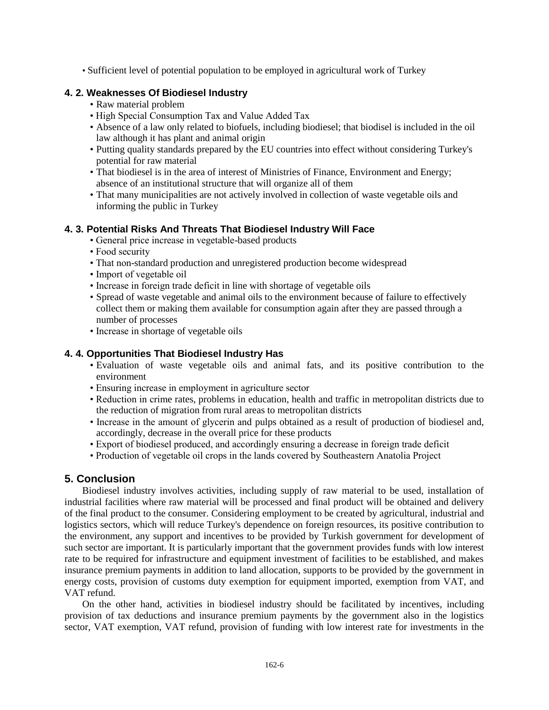• Sufficient level of potential population to be employed in agricultural work of Turkey

# **4. 2. Weaknesses Of Biodiesel Industry**

- Raw material problem
- High Special Consumption Tax and Value Added Tax
- Absence of a law only related to biofuels, including biodiesel; that biodisel is included in the oil law although it has plant and animal origin
- Putting quality standards prepared by the EU countries into effect without considering Turkey's potential for raw material
- That biodiesel is in the area of interest of Ministries of Finance, Environment and Energy; absence of an institutional structure that will organize all of them
- That many municipalities are not actively involved in collection of waste vegetable oils and informing the public in Turkey

# **4. 3. Potential Risks And Threats That Biodiesel Industry Will Face**

- General price increase in vegetable-based products
- Food security
- That non-standard production and unregistered production become widespread
- Import of vegetable oil
- Increase in foreign trade deficit in line with shortage of vegetable oils
- Spread of waste vegetable and animal oils to the environment because of failure to effectively collect them or making them available for consumption again after they are passed through a number of processes
- Increase in shortage of vegetable oils

# **4. 4. Opportunities That Biodiesel Industry Has**

- Evaluation of waste vegetable oils and animal fats, and its positive contribution to the environment
- Ensuring increase in employment in agriculture sector
- Reduction in crime rates, problems in education, health and traffic in metropolitan districts due to the reduction of migration from rural areas to metropolitan districts
- Increase in the amount of glycerin and pulps obtained as a result of production of biodiesel and, accordingly, decrease in the overall price for these products
- Export of biodiesel produced, and accordingly ensuring a decrease in foreign trade deficit
- Production of vegetable oil crops in the lands covered by Southeastern Anatolia Project

# **5. Conclusion**

Biodiesel industry involves activities, including supply of raw material to be used, installation of industrial facilities where raw material will be processed and final product will be obtained and delivery of the final product to the consumer. Considering employment to be created by agricultural, industrial and logistics sectors, which will reduce Turkey's dependence on foreign resources, its positive contribution to the environment, any support and incentives to be provided by Turkish government for development of such sector are important. It is particularly important that the government provides funds with low interest rate to be required for infrastructure and equipment investment of facilities to be established, and makes insurance premium payments in addition to land allocation, supports to be provided by the government in energy costs, provision of customs duty exemption for equipment imported, exemption from VAT, and VAT refund.

On the other hand, activities in biodiesel industry should be facilitated by incentives, including provision of tax deductions and insurance premium payments by the government also in the logistics sector, VAT exemption, VAT refund, provision of funding with low interest rate for investments in the